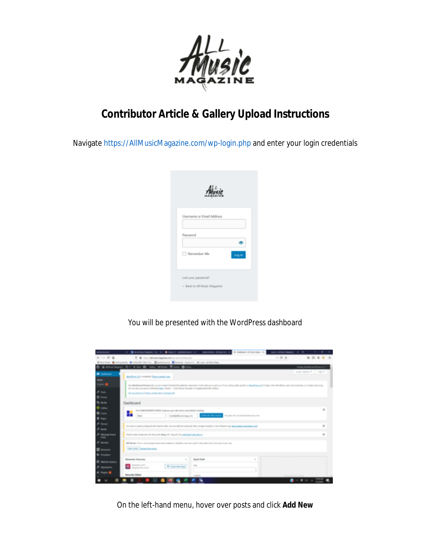

## **Contributor Article & Gallery Upload Instructions**

Navigate<https://AllMusicMagazine.com/wp-login.php> and enter your login credentials



You will be presented with the WordPress dashboard



On the left-hand menu, hover over posts and click **Add New**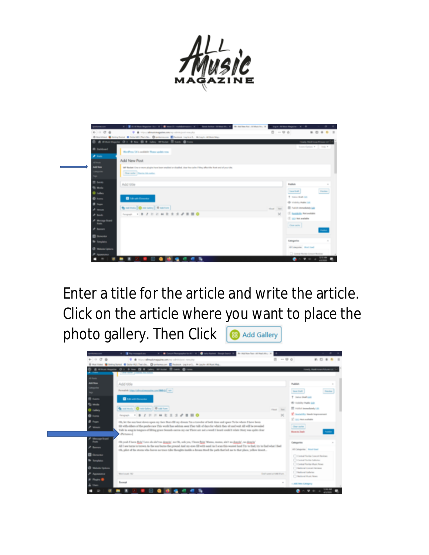

Enter a title for the article and write the article. Click on the article where you want to place the photo gallery. Then Click **B** Add Gallery

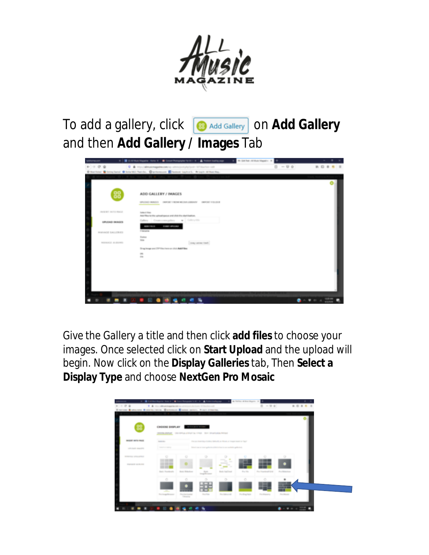

To add a gallery, click **B** Add Gallery **on Add Gallery** and then **Add Gallery / Images** Tab



Give the Gallery a title and then click **add files** to choose your images. Once selected click on **Start Upload** and the upload will begin. Now click on the **Display Galleries** tab, Then **Select a Display Type** and choose **NextGen Pro Mosaic**

|                      | CHOOSE DISPLAY                                                                                                                              |                                                               | <b>British Street Concernse</b> |                                                                                                                                                                                                                                                                                                                                                                                                                                                                                           |                 |                                |                  |  |
|----------------------|---------------------------------------------------------------------------------------------------------------------------------------------|---------------------------------------------------------------|---------------------------------|-------------------------------------------------------------------------------------------------------------------------------------------------------------------------------------------------------------------------------------------------------------------------------------------------------------------------------------------------------------------------------------------------------------------------------------------------------------------------------------------|-----------------|--------------------------------|------------------|--|
|                      | <b>DATES PRESS, THE SPIRAL EXPLAS IN 1992. Well programma moved</b>                                                                         |                                                               |                                 |                                                                                                                                                                                                                                                                                                                                                                                                                                                                                           |                 |                                |                  |  |
| records and a media  | produced a series of the control of the<br><b>STATE OF A</b>                                                                                |                                                               |                                 | the position that clarifies Which as Mices or trape based or fraud                                                                                                                                                                                                                                                                                                                                                                                                                        |                 |                                |                  |  |
| LEGISLATIC MANAGERS  | Telephone Contents<br><u> Louis Communication de la communication de la communication de la communication de la communication de la com</u> |                                                               |                                 | School was on terms guilty-free telled in from for one analyticity guilty-to-ol-                                                                                                                                                                                                                                                                                                                                                                                                          |                 |                                |                  |  |
| MARAGE SPACERTS E    | $\circ$                                                                                                                                     | o                                                             | $\circ$                         | $\circ$                                                                                                                                                                                                                                                                                                                                                                                                                                                                                   |                 | o                              | $\circ$          |  |
| <b>PERMIT SCRIPT</b> | .                                                                                                                                           |                                                               |                                 | $-1$<br>$\frac{1}{2} \left( \frac{1}{2} \right) \left( \frac{1}{2} \right) \left( \frac{1}{2} \right) \left( \frac{1}{2} \right) \left( \frac{1}{2} \right) \left( \frac{1}{2} \right) \left( \frac{1}{2} \right) \left( \frac{1}{2} \right) \left( \frac{1}{2} \right) \left( \frac{1}{2} \right) \left( \frac{1}{2} \right) \left( \frac{1}{2} \right) \left( \frac{1}{2} \right) \left( \frac{1}{2} \right) \left( \frac{1}{2} \right) \left( \frac{1}{2} \right) \left( \frac$<br>- - |                 |                                |                  |  |
|                      | Back Warehouts                                                                                                                              | <b>Build Williams</b>                                         | Total C<br><b>Tough Court</b>   | <b>Service</b><br><b>Build Family Board</b>                                                                                                                                                                                                                                                                                                                                                                                                                                               | <b>Pro Hite</b> | Phone Photograph and Phone Re- | The Manufacturer |  |
|                      | n.                                                                                                                                          | $\circ$                                                       | $\circ$                         | $\alpha$                                                                                                                                                                                                                                                                                                                                                                                                                                                                                  | $\alpha$        | ō                              | ٠                |  |
|                      |                                                                                                                                             |                                                               |                                 |                                                                                                                                                                                                                                                                                                                                                                                                                                                                                           |                 |                                | --<br>--<br>--   |  |
|                      | The trap former                                                                                                                             | <b><i><u>Recognized</u></i></b><br><b><i>Changed Card</i></b> | <b>Southern</b>                 | <b>Die Amteriol</b>                                                                                                                                                                                                                                                                                                                                                                                                                                                                       | For King Hyte   | <b>Pro Atlanta</b>             | <b>Southwest</b> |  |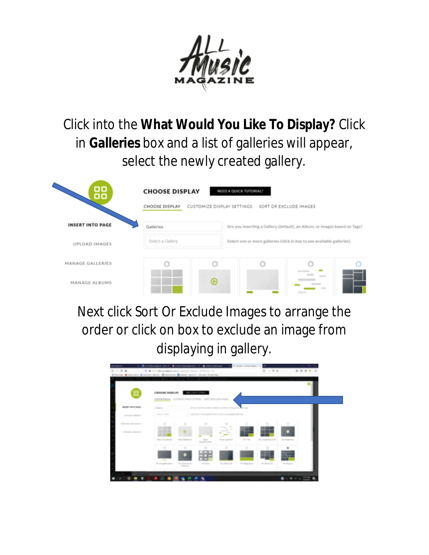

Click into the **What Would You Like To Display?** Click in **Galleries** box and a list of galleries will appear, select the newly created gallery.

| oo<br>oo                | <b>NEED A QUICK TUTORIAL?</b><br>CUSTOMIZE DISPLAY SETTINGS SORT OR EXCLUDE IMAGES |   |                                                                           |                                   |  |  |  |  |
|-------------------------|------------------------------------------------------------------------------------|---|---------------------------------------------------------------------------|-----------------------------------|--|--|--|--|
| <b>INSERT INTO PAGE</b> | Galleries                                                                          |   | Are you inserting a Gallery (default), an Album, or images based on Tags? |                                   |  |  |  |  |
| <b>UPLOAD IMAGES</b>    | Select a Gallery                                                                   |   | Select one or more galleries (click in box to see available galleries).   |                                   |  |  |  |  |
| <b>MANAGE GALLERIES</b> |                                                                                    |   |                                                                           |                                   |  |  |  |  |
| <b>MANAGE ALBUMS</b>    |                                                                                    | ⊛ |                                                                           | <b>STATISTICS</b><br><b>STATE</b> |  |  |  |  |

Next click Sort Or Exclude Images to arrange the order or click on box to exclude an image from displaying in gallery.

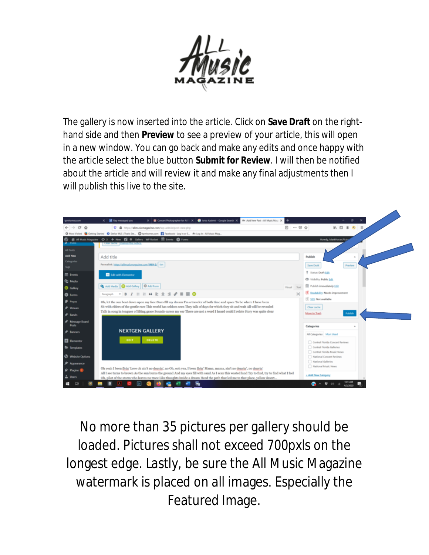

The gallery is now inserted into the article. Click on **Save Draft** on the righthand side and then **Preview** to see a preview of your article, this will open in a new window. You can go back and make any edits and once happy with the article select the blue button **Submit for Review**. I will then be notified about the article and will review it and make any final adjustments then I will publish this live to the site.



No more than 35 pictures per gallery should be loaded. Pictures shall not exceed 700pxls on the longest edge. Lastly, be sure the All Music Magazine watermark is placed on all images. Especially the Featured Image.